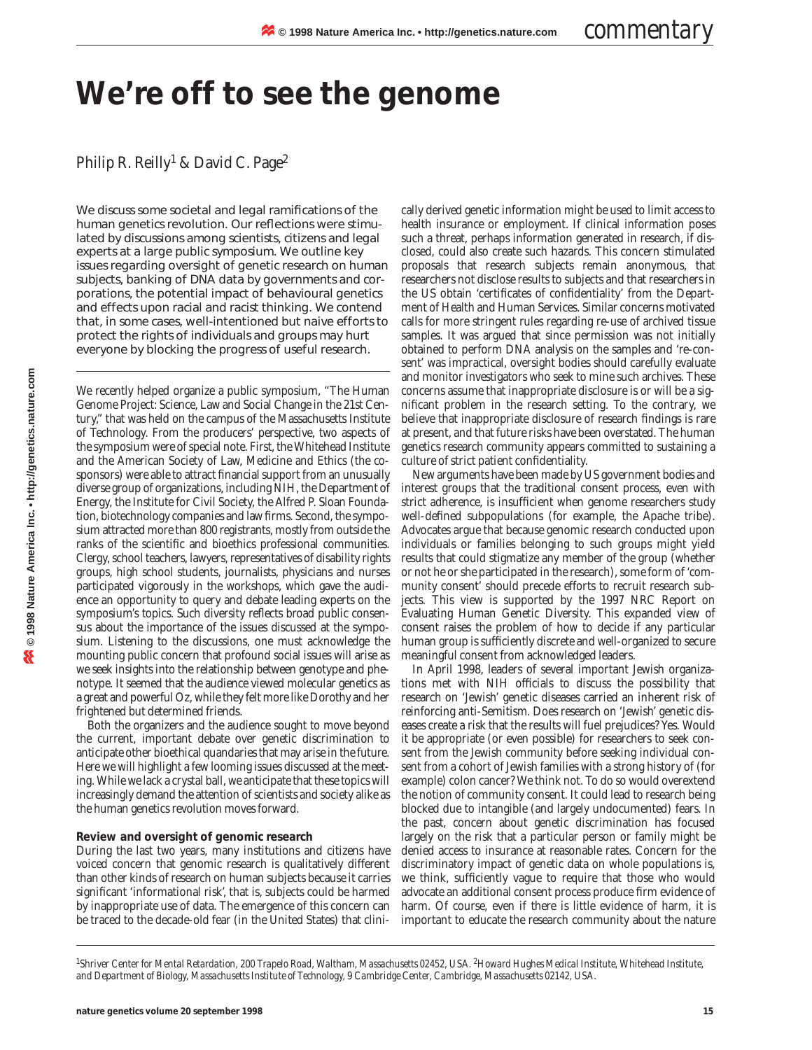# **We're off to see the genome**

# Philip R. Reilly<sup>1</sup> & David C. Page<sup>2</sup>

We discuss some societal and legal ramifications of the human genetics revolution. Our reflections were stimulated by discussions among scientists, citizens and legal experts at a large public symposium. We outline key issues regarding oversight of genetic research on human subjects, banking of DNA data by governments and corporations, the potential impact of behavioural genetics and effects upon racial and racist thinking. We contend that, in some cases, well-intentioned but naive efforts to protect the rights of individuals and groups may hurt everyone by blocking the progress of useful research.

We recently helped organize a public symposium, "The Human Genome Project: Science, Law and Social Change in the 21st Century," that was held on the campus of the Massachusetts Institute of Technology. From the producers' perspective, two aspects of the symposium were of special note. First, the Whitehead Institute and the American Society of Law, Medicine and Ethics (the cosponsors) were able to attract financial support from an unusually diverse group of organizations, including NIH, the Department of Energy, the Institute for Civil Society, the Alfred P. Sloan Foundation, biotechnology companies and law firms. Second, the symposium attracted more than 800 registrants, mostly from outside the ranks of the scientific and bioethics professional communities. Clergy, school teachers, lawyers, representatives of disability rights groups, high school students, journalists, physicians and nurses participated vigorously in the workshops, which gave the audience an opportunity to query and debate leading experts on the symposium's topics. Such diversity reflects broad public consensus about the importance of the issues discussed at the symposium. Listening to the discussions, one must acknowledge the mounting public concern that profound social issues will arise as we seek insights into the relationship between genotype and phenotype. It seemed that the audience viewed molecular genetics as a great and powerful Oz, while they felt more like Dorothy and her frightened but determined friends.

Both the organizers and the audience sought to move beyond the current, important debate over genetic discrimination to anticipate other bioethical quandaries that may arise in the future. Here we will highlight a few looming issues discussed at the meeting. While we lack a crystal ball, we anticipate that these topics will increasingly demand the attention of scientists and society alike as the human genetics revolution moves forward.

## **Review and oversight of genomic research**

During the last two years, many institutions and citizens have voiced concern that genomic research is qualitatively different than other kinds of research on human subjects because it carries significant 'informational risk', that is, subjects could be harmed by inappropriate use of data. The emergence of this concern can be traced to the decade-old fear (in the United States) that clinically derived genetic information might be used to limit access to health insurance or employment. If clinical information poses such a threat, perhaps information generated in research, if disclosed, could also create such hazards. This concern stimulated proposals that research subjects remain anonymous, that researchers not disclose results to subjects and that researchers in the US obtain 'certificates of confidentiality' from the Department of Health and Human Services. Similar concerns motivated calls for more stringent rules regarding re-use of archived tissue samples. It was argued that since permission was not initially obtained to perform DNA analysis on the samples and 're-consent' was impractical, oversight bodies should carefully evaluate and monitor investigators who seek to mine such archives. These concerns assume that inappropriate disclosure is or will be a significant problem in the research setting. To the contrary, we believe that inappropriate disclosure of research findings is rare at present, and that future risks have been overstated. The human genetics research community appears committed to sustaining a culture of strict patient confidentiality.

New arguments have been made by US government bodies and interest groups that the traditional consent process, even with strict adherence, is insufficient when genome researchers study well-defined subpopulations (for example, the Apache tribe). Advocates argue that because genomic research conducted upon individuals or families belonging to such groups might yield results that could stigmatize any member of the group (whether or not he or she participated in the research), some form of 'community consent' should precede efforts to recruit research subjects. This view is supported by the 1997 NRC Report on Evaluating Human Genetic Diversity. This expanded view of consent raises the problem of how to decide if any particular human group is sufficiently discrete and well-organized to secure meaningful consent from acknowledged leaders.

In April 1998, leaders of several important Jewish organizations met with NIH officials to discuss the possibility that research on 'Jewish' genetic diseases carried an inherent risk of reinforcing anti-Semitism. Does research on 'Jewish' genetic diseases create a risk that the results will fuel prejudices? Yes. Would it be appropriate (or even possible) for researchers to seek consent from the Jewish community before seeking individual consent from a cohort of Jewish families with a strong history of (for example) colon cancer? We think not. To do so would overextend the notion of community consent. It could lead to research being blocked due to intangible (and largely undocumented) fears. In the past, concern about genetic discrimination has focused largely on the risk that a particular person or family might be denied access to insurance at reasonable rates. Concern for the discriminatory impact of genetic data on whole populations is, we think, sufficiently vague to require that those who would advocate an additional consent process produce firm evidence of harm. Of course, even if there is little evidence of harm, it is important to educate the research community about the nature

*1Shriver Center for Mental Retardation, 200 Trapelo Road, Waltham, Massachusetts 02452, USA. 2Howard Hughes Medical Institute, Whitehead Institute, and Department of Biology, Massachusetts Institute of Technology, 9 Cambridge Center, Cambridge, Massachusetts 02142, USA.*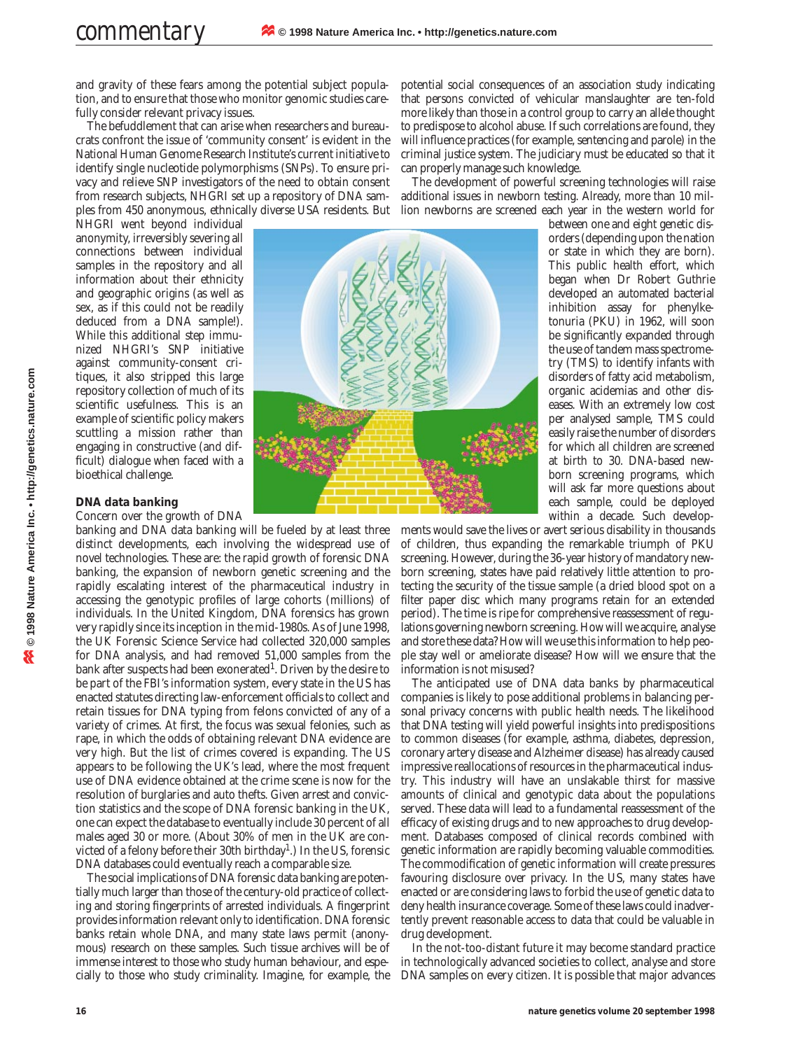and gravity of these fears among the potential subject population, and to ensure that those who monitor genomic studies carefully consider relevant privacy issues.

The befuddlement that can arise when researchers and bureaucrats confront the issue of 'community consent' is evident in the National Human Genome Research Institute's current initiative to identify single nucleotide polymorphisms (SNPs). To ensure privacy and relieve SNP investigators of the need to obtain consent from research subjects, NHGRI set up a repository of DNA samples from 450 anonymous, ethnically diverse USA residents. But

NHGRI went beyond individual anonymity, irreversibly severing all connections between individual samples in the repository and all information about their ethnicity and geographic origins (as well as sex, as if this could not be readily deduced from a DNA sample!). While this additional step immunized NHGRI's SNP initiative against community-consent critiques, it also stripped this large repository collection of much of its scientific usefulness. This is an example of scientific policy makers scuttling a mission rather than engaging in constructive (and difficult) dialogue when faced with a bioethical challenge.

#### **DNA data banking**

#### Concern over the growth of DNA

banking and DNA data banking will be fueled by at least three distinct developments, each involving the widespread use of novel technologies. These are: the rapid growth of forensic DNA banking, the expansion of newborn genetic screening and the rapidly escalating interest of the pharmaceutical industry in accessing the genotypic profiles of large cohorts (millions) of individuals. In the United Kingdom, DNA forensics has grown very rapidly since its inception in the mid-1980s. As of June 1998, the UK Forensic Science Service had collected 320,000 samples for DNA analysis, and had removed 51,000 samples from the bank after suspects had been exonerated<sup>1</sup>. Driven by the desire to be part of the FBI's information system, every state in the US has enacted statutes directing law-enforcement officials to collect and retain tissues for DNA typing from felons convicted of any of a variety of crimes. At first, the focus was sexual felonies, such as rape, in which the odds of obtaining relevant DNA evidence are very high. But the list of crimes covered is expanding. The US appears to be following the UK's lead, where the most frequent use of DNA evidence obtained at the crime scene is now for the resolution of burglaries and auto thefts. Given arrest and conviction statistics and the scope of DNA forensic banking in the UK, one can expect the database to eventually include 30 percent of all males aged 30 or more. (About 30% of men in the UK are convicted of a felony before their 30th birthday<sup>1</sup>.) In the US, forensic DNA databases could eventually reach a comparable size.

The social implications of DNA forensic data banking are potentially much larger than those of the century-old practice of collecting and storing fingerprints of arrested individuals. A fingerprint provides information relevant only to identification. DNA forensic banks retain whole DNA, and many state laws permit (anonymous) research on these samples. Such tissue archives will be of immense interest to those who study human behaviour, and especially to those who study criminality. Imagine, for example, the

potential social consequences of an association study indicating that persons convicted of vehicular manslaughter are ten-fold more likely than those in a control group to carry an allele thought to predispose to alcohol abuse. If such correlations are found, they will influence practices (for example, sentencing and parole) in the criminal justice system. The judiciary must be educated so that it can properly manage such knowledge.

The development of powerful screening technologies will raise additional issues in newborn testing. Already, more than 10 million newborns are screened each year in the western world for



between one and eight genetic disorders (depending upon the nation or state in which they are born). This public health effort, which began when Dr Robert Guthrie developed an automated bacterial inhibition assay for phenylketonuria (PKU) in 1962, will soon be significantly expanded through the use of tandem mass spectrometry (TMS) to identify infants with disorders of fatty acid metabolism, organic acidemias and other diseases. With an extremely low cost per analysed sample, TMS could easily raise the number of disorders for which all children are screened at birth to 30. DNA-based newborn screening programs, which will ask far more questions about each sample, could be deployed within a decade. Such develop-

ments would save the lives or avert serious disability in thousands of children, thus expanding the remarkable triumph of PKU screening. However, during the 36-year history of mandatory newborn screening, states have paid relatively little attention to protecting the security of the tissue sample (a dried blood spot on a filter paper disc which many programs retain for an extended period). The time is ripe for comprehensive reassessment of regulations governing newborn screening. How will we acquire, analyse and store these data? How will we use this information to help people stay well or ameliorate disease? How will we ensure that the information is not misused?

The anticipated use of DNA data banks by pharmaceutical companies is likely to pose additional problems in balancing personal privacy concerns with public health needs. The likelihood that DNA testing will yield powerful insights into predispositions to common diseases (for example, asthma, diabetes, depression, coronary artery disease and Alzheimer disease) has already caused impressive reallocations of resources in the pharmaceutical industry. This industry will have an unslakable thirst for massive amounts of clinical and genotypic data about the populations served. These data will lead to a fundamental reassessment of the efficacy of existing drugs and to new approaches to drug development. Databases composed of clinical records combined with genetic information are rapidly becoming valuable commodities. The commodification of genetic information will create pressures favouring disclosure over privacy. In the US, many states have enacted or are considering laws to forbid the use of genetic data to deny health insurance coverage. Some of these laws could inadvertently prevent reasonable access to data that could be valuable in drug development.

In the not-too-distant future it may become standard practice in technologically advanced societies to collect, analyse and store DNA samples on every citizen. It is possible that major advances